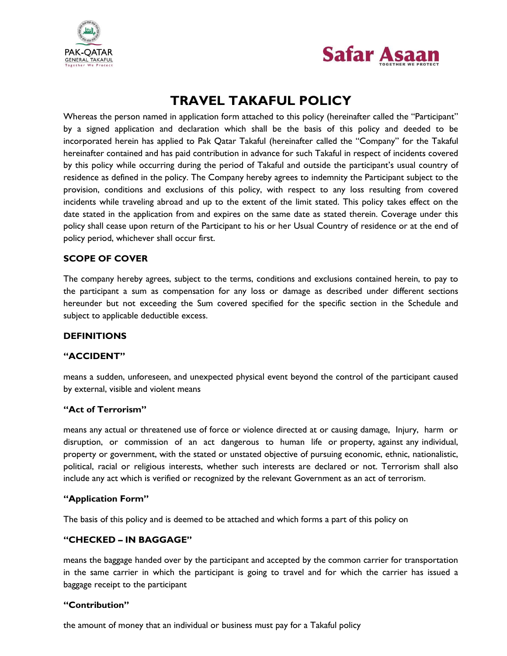



## **TRAVEL TAKAFUL POLICY**

Whereas the person named in application form attached to this policy (hereinafter called the "Participant" by a signed application and declaration which shall be the basis of this policy and deeded to be incorporated herein has applied to Pak Qatar Takaful (hereinafter called the "Company" for the Takaful hereinafter contained and has paid contribution in advance for such Takaful in respect of incidents covered by this policy while occurring during the period of Takaful and outside the participant's usual country of residence as defined in the policy. The Company hereby agrees to indemnity the Participant subject to the provision, conditions and exclusions of this policy, with respect to any loss resulting from covered incidents while traveling abroad and up to the extent of the limit stated. This policy takes effect on the date stated in the application from and expires on the same date as stated therein. Coverage under this policy shall cease upon return of the Participant to his or her Usual Country of residence or at the end of policy period, whichever shall occur first.

## **SCOPE OF COVER**

The company hereby agrees, subject to the terms, conditions and exclusions contained herein, to pay to the participant a sum as compensation for any loss or damage as described under different sections hereunder but not exceeding the Sum covered specified for the specific section in the Schedule and subject to applicable deductible excess.

#### **DEFINITIONS**

#### **"ACCIDENT"**

means a sudden, unforeseen, and unexpected physical event beyond the control of the participant caused by external, visible and violent means

#### **"Act of Terrorism"**

means any actual or threatened use of force or violence directed at or causing damage, Injury, harm or disruption, or commission of an act dangerous to human life or property, against any individual, property or government, with the stated or unstated objective of pursuing economic, ethnic, nationalistic, political, racial or religious interests, whether such interests are declared or not. Terrorism shall also include any act which is verified or recognized by the relevant Government as an act of terrorism.

#### **"Application Form"**

The basis of this policy and is deemed to be attached and which forms a part of this policy on

#### **"CHECKED – IN BAGGAGE"**

means the baggage handed over by the participant and accepted by the common carrier for transportation in the same carrier in which the participant is going to travel and for which the carrier has issued a baggage receipt to the participant

#### **"Contribution"**

the amount of money that an individual or business must pay for a Takaful policy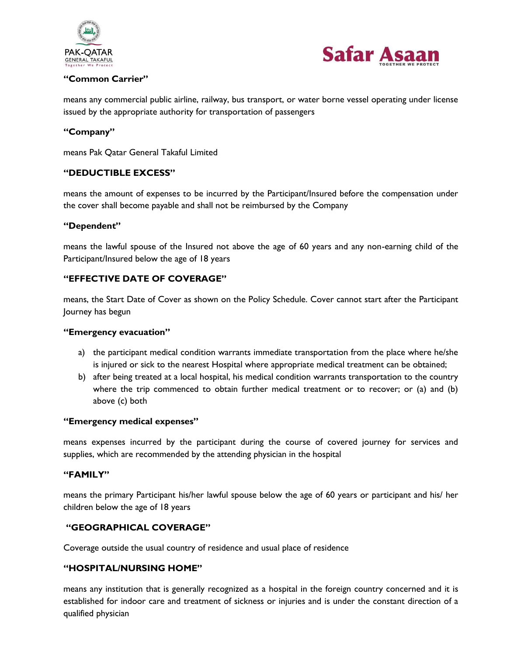



## **"Common Carrier"**

means any commercial public airline, railway, bus transport, or water borne vessel operating under license issued by the appropriate authority for transportation of passengers

## **"Company"**

means Pak Qatar General Takaful Limited

## **"DEDUCTIBLE EXCESS"**

means the amount of expenses to be incurred by the Participant/Insured before the compensation under the cover shall become payable and shall not be reimbursed by the Company

#### **"Dependent"**

means the lawful spouse of the Insured not above the age of 60 years and any non-earning child of the Participant/Insured below the age of 18 years

## **"EFFECTIVE DATE OF COVERAGE"**

means, the Start Date of Cover as shown on the Policy Schedule. Cover cannot start after the Participant Journey has begun

#### **"Emergency evacuation"**

- a) the participant medical condition warrants immediate transportation from the place where he/she is injured or sick to the nearest Hospital where appropriate medical treatment can be obtained;
- b) after being treated at a local hospital, his medical condition warrants transportation to the country where the trip commenced to obtain further medical treatment or to recover; or (a) and (b) above (c) both

#### **"Emergency medical expenses"**

means expenses incurred by the participant during the course of covered journey for services and supplies, which are recommended by the attending physician in the hospital

#### **"FAMILY"**

means the primary Participant his/her lawful spouse below the age of 60 years or participant and his/ her children below the age of 18 years

#### **"GEOGRAPHICAL COVERAGE"**

Coverage outside the usual country of residence and usual place of residence

#### **"HOSPITAL/NURSING HOME"**

means any institution that is generally recognized as a hospital in the foreign country concerned and it is established for indoor care and treatment of sickness or injuries and is under the constant direction of a qualified physician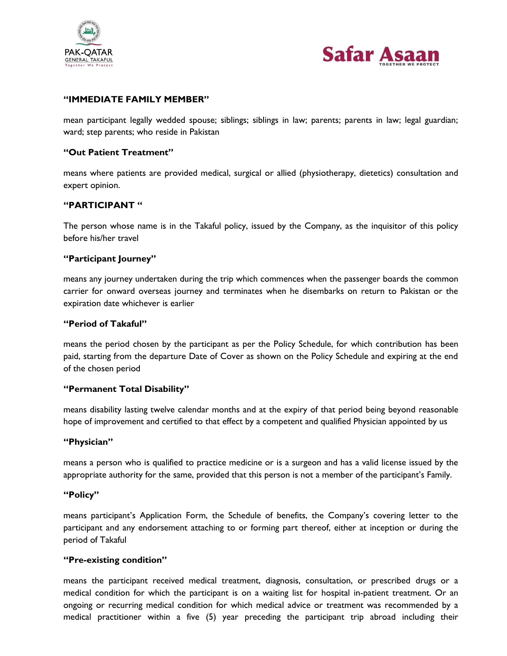



## **"IMMEDIATE FAMILY MEMBER"**

mean participant legally wedded spouse; siblings; siblings in law; parents; parents in law; legal guardian; ward; step parents; who reside in Pakistan

#### **"Out Patient Treatment"**

means where patients are provided medical, surgical or allied (physiotherapy, dietetics) consultation and expert opinion.

## **"PARTICIPANT "**

The person whose name is in the Takaful policy, issued by the Company, as the inquisitor of this policy before his/her travel

#### **"Participant Journey"**

means any journey undertaken during the trip which commences when the passenger boards the common carrier for onward overseas journey and terminates when he disembarks on return to Pakistan or the expiration date whichever is earlier

#### **"Period of Takaful"**

means the period chosen by the participant as per the Policy Schedule, for which contribution has been paid, starting from the departure Date of Cover as shown on the Policy Schedule and expiring at the end of the chosen period

#### **"Permanent Total Disability"**

means disability lasting twelve calendar months and at the expiry of that period being beyond reasonable hope of improvement and certified to that effect by a competent and qualified Physician appointed by us

#### **"Physician"**

means a person who is qualified to practice medicine or is a surgeon and has a valid license issued by the appropriate authority for the same, provided that this person is not a member of the participant's Family.

#### **"Policy"**

means participant"s Application Form, the Schedule of benefits, the Company"s covering letter to the participant and any endorsement attaching to or forming part thereof, either at inception or during the period of Takaful

#### **"Pre-existing condition"**

means the participant received medical treatment, diagnosis, consultation, or prescribed drugs or a medical condition for which the participant is on a waiting list for hospital in-patient treatment. Or an ongoing or recurring medical condition for which medical advice or treatment was recommended by a medical practitioner within a five (5) year preceding the participant trip abroad including their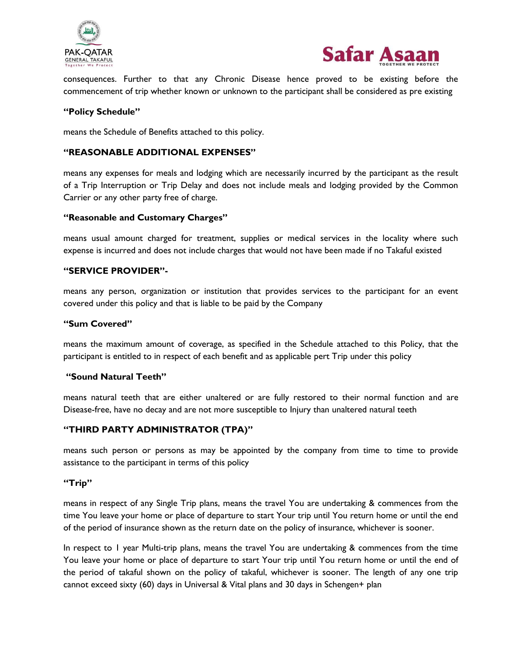



consequences. Further to that any Chronic Disease hence proved to be existing before the commencement of trip whether known or unknown to the participant shall be considered as pre existing

## **"Policy Schedule"**

means the Schedule of Benefits attached to this policy.

#### **"REASONABLE ADDITIONAL EXPENSES"**

means any expenses for meals and lodging which are necessarily incurred by the participant as the result of a Trip Interruption or Trip Delay and does not include meals and lodging provided by the Common Carrier or any other party free of charge.

#### **"Reasonable and Customary Charges"**

means usual amount charged for treatment, supplies or medical services in the locality where such expense is incurred and does not include charges that would not have been made if no Takaful existed

#### **"SERVICE PROVIDER"-**

means any person, organization or institution that provides services to the participant for an event covered under this policy and that is liable to be paid by the Company

#### **"Sum Covered"**

means the maximum amount of coverage, as specified in the Schedule attached to this Policy, that the participant is entitled to in respect of each benefit and as applicable pert Trip under this policy

#### **"Sound Natural Teeth"**

means natural teeth that are either unaltered or are fully restored to their normal function and are Disease-free, have no decay and are not more susceptible to Injury than unaltered natural teeth

#### **"THIRD PARTY ADMINISTRATOR (TPA)"**

means such person or persons as may be appointed by the company from time to time to provide assistance to the participant in terms of this policy

#### **"Trip"**

means in respect of any Single Trip plans, means the travel You are undertaking & commences from the time You leave your home or place of departure to start Your trip until You return home or until the end of the period of insurance shown as the return date on the policy of insurance, whichever is sooner.

In respect to 1 year Multi-trip plans, means the travel You are undertaking & commences from the time You leave your home or place of departure to start Your trip until You return home or until the end of the period of takaful shown on the policy of takaful, whichever is sooner. The length of any one trip cannot exceed sixty (60) days in Universal & Vital plans and 30 days in Schengen+ plan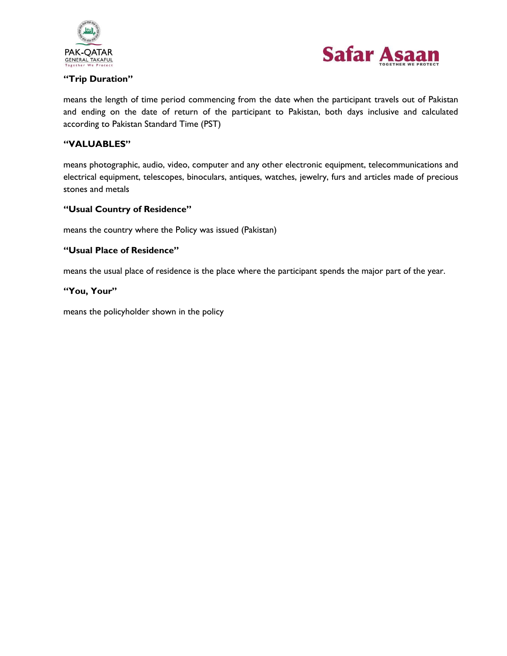

#### **"Trip Duration"**



means the length of time period commencing from the date when the participant travels out of Pakistan and ending on the date of return of the participant to Pakistan, both days inclusive and calculated according to Pakistan Standard Time (PST)

#### **"VALUABLES"**

means photographic, audio, video, computer and any other electronic equipment, telecommunications and electrical equipment, telescopes, binoculars, antiques, watches, jewelry, furs and articles made of precious stones and metals

#### **"Usual Country of Residence"**

means the country where the Policy was issued (Pakistan)

#### **"Usual Place of Residence"**

means the usual place of residence is the place where the participant spends the major part of the year.

#### **"You, Your"**

means the policyholder shown in the policy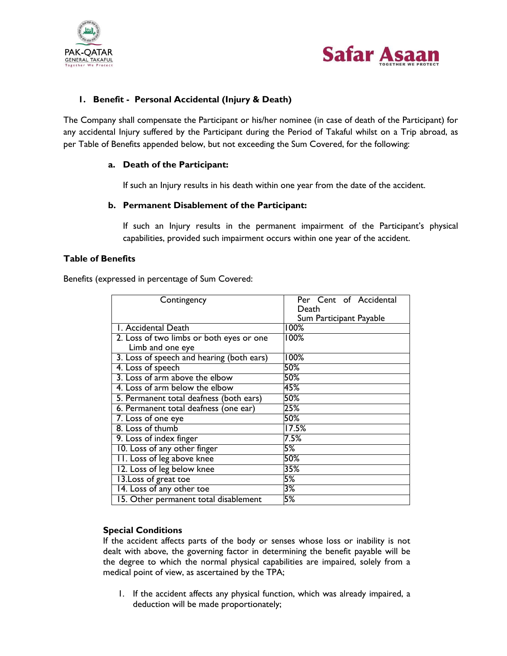



## **1. Benefit - Personal Accidental (Injury & Death)**

The Company shall compensate the Participant or his/her nominee (in case of death of the Participant) for any accidental Injury suffered by the Participant during the Period of Takaful whilst on a Trip abroad, as per Table of Benefits appended below, but not exceeding the Sum Covered, for the following:

#### **a. Death of the Participant:**

If such an Injury results in his death within one year from the date of the accident.

#### **b. Permanent Disablement of the Participant:**

If such an Injury results in the permanent impairment of the Participant"s physical capabilities, provided such impairment occurs within one year of the accident.

#### **Table of Benefits**

Benefits (expressed in percentage of Sum Covered:

| Contingency                               | Per Cent of Accidental  |
|-------------------------------------------|-------------------------|
|                                           | Death                   |
|                                           | Sum Participant Payable |
| I. Accidental Death                       | 100%                    |
| 2. Loss of two limbs or both eyes or one  | 100%                    |
| Limb and one eye                          |                         |
| 3. Loss of speech and hearing (both ears) | 100%                    |
| 4. Loss of speech                         | $50\%$                  |
| 3. Loss of arm above the elbow            | $50\%$                  |
| 4. Loss of arm below the elbow            | 45%                     |
| 5. Permanent total deafness (both ears)   | $50\%$                  |
| 6. Permanent total deafness (one ear)     | 25%                     |
| 7. Loss of one eye                        | $50\%$                  |
| 8. Loss of thumb                          | 17.5%                   |
| 9. Loss of index finger                   | 7.5%                    |
| 10. Loss of any other finger              | 5%                      |
| 11. Loss of leg above knee                | 50%                     |
| 12. Loss of leg below knee                | 35%                     |
| 13. Loss of great toe                     | 5%                      |
| 14. Loss of any other toe                 | 3%                      |
| 15. Other permanent total disablement     | 5%                      |

#### **Special Conditions**

If the accident affects parts of the body or senses whose loss or inability is not dealt with above, the governing factor in determining the benefit payable will be the degree to which the normal physical capabilities are impaired, solely from a medical point of view, as ascertained by the TPA;

1. If the accident affects any physical function, which was already impaired, a deduction will be made proportionately;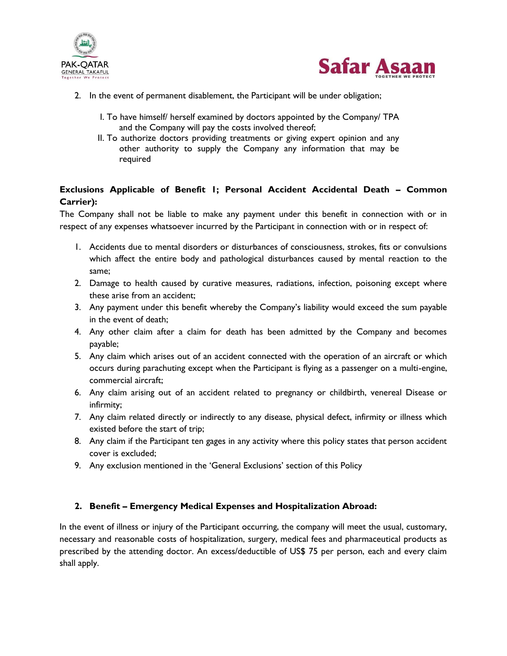



- 2. In the event of permanent disablement, the Participant will be under obligation;
	- I. To have himself/ herself examined by doctors appointed by the Company/ TPA and the Company will pay the costs involved thereof;
	- II. To authorize doctors providing treatments or giving expert opinion and any other authority to supply the Company any information that may be required

## **Exclusions Applicable of Benefit 1; Personal Accident Accidental Death – Common Carrier):**

The Company shall not be liable to make any payment under this benefit in connection with or in respect of any expenses whatsoever incurred by the Participant in connection with or in respect of:

- 1. Accidents due to mental disorders or disturbances of consciousness, strokes, fits or convulsions which affect the entire body and pathological disturbances caused by mental reaction to the same;
- 2. Damage to health caused by curative measures, radiations, infection, poisoning except where these arise from an accident;
- 3. Any payment under this benefit whereby the Company"s liability would exceed the sum payable in the event of death;
- 4. Any other claim after a claim for death has been admitted by the Company and becomes payable;
- 5. Any claim which arises out of an accident connected with the operation of an aircraft or which occurs during parachuting except when the Participant is flying as a passenger on a multi-engine, commercial aircraft;
- 6. Any claim arising out of an accident related to pregnancy or childbirth, venereal Disease or infirmity;
- 7. Any claim related directly or indirectly to any disease, physical defect, infirmity or illness which existed before the start of trip;
- 8. Any claim if the Participant ten gages in any activity where this policy states that person accident cover is excluded;
- 9. Any exclusion mentioned in the 'General Exclusions' section of this Policy

## **2. Benefit – Emergency Medical Expenses and Hospitalization Abroad:**

In the event of illness or injury of the Participant occurring, the company will meet the usual, customary, necessary and reasonable costs of hospitalization, surgery, medical fees and pharmaceutical products as prescribed by the attending doctor. An excess/deductible of US\$ 75 per person, each and every claim shall apply.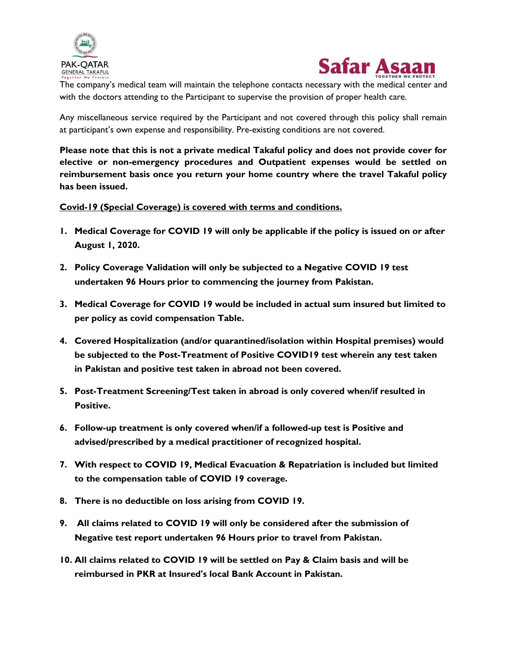



The company"s medical team will maintain the telephone contacts necessary with the medical center and with the doctors attending to the Participant to supervise the provision of proper health care.

Any miscellaneous service required by the Participant and not covered through this policy shall remain at participant"s own expense and responsibility. Pre-existing conditions are not covered.

**Please note that this is not a private medical Takaful policy and does not provide cover for elective or non-emergency procedures and Outpatient expenses would be settled on reimbursement basis once you return your home country where the travel Takaful policy has been issued.**

**Covid-19 (Special Coverage) is covered with terms and conditions.**

- **1. Medical Coverage for COVID 19 will only be applicable if the policy is issued on or after August 1, 2020.**
- **2. Policy Coverage Validation will only be subjected to a Negative COVID 19 test undertaken 96 Hours prior to commencing the journey from Pakistan.**
- **3. Medical Coverage for COVID 19 would be included in actual sum insured but limited to per policy as covid compensation Table.**
- **4. Covered Hospitalization (and/or quarantined/isolation within Hospital premises) would be subjected to the Post-Treatment of Positive COVID19 test wherein any test taken in Pakistan and positive test taken in abroad not been covered.**
- **5. Post-Treatment Screening/Test taken in abroad is only covered when/if resulted in Positive.**
- **6. Follow-up treatment is only covered when/if a followed-up test is Positive and advised/prescribed by a medical practitioner of recognized hospital.**
- **7. With respect to COVID 19, Medical Evacuation & Repatriation is included but limited to the compensation table of COVID 19 coverage.**
- **8. There is no deductible on loss arising from COVID 19.**
- **9. All claims related to COVID 19 will only be considered after the submission of Negative test report undertaken 96 Hours prior to travel from Pakistan.**
- **10. All claims related to COVID 19 will be settled on Pay & Claim basis and will be reimbursed in PKR at Insured's local Bank Account in Pakistan.**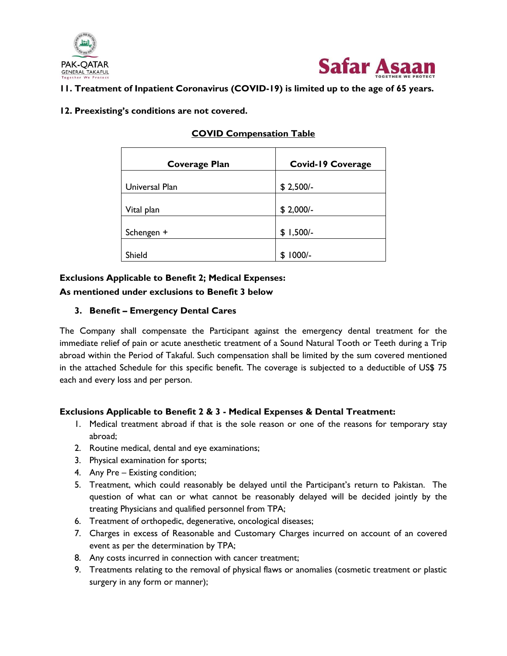



## **11. Treatment of Inpatient Coronavirus (COVID-19) is limited up to the age of 65 years.**

## **12. Preexisting's conditions are not covered.**

| <b>Coverage Plan</b> | <b>Covid-19 Coverage</b> |
|----------------------|--------------------------|
|                      |                          |
| Universal Plan       | $$2,500/-$               |
|                      |                          |
| Vital plan           | $$2,000/-$               |
|                      |                          |
| Schengen +           | $$1,500/-$               |
|                      |                          |
| Shield               | $1000/-$<br>S            |

## **COVID Compensation Table**

## **Exclusions Applicable to Benefit 2; Medical Expenses:**

## **As mentioned under exclusions to Benefit 3 below**

## **3. Benefit – Emergency Dental Cares**

The Company shall compensate the Participant against the emergency dental treatment for the immediate relief of pain or acute anesthetic treatment of a Sound Natural Tooth or Teeth during a Trip abroad within the Period of Takaful. Such compensation shall be limited by the sum covered mentioned in the attached Schedule for this specific benefit. The coverage is subjected to a deductible of US\$ 75 each and every loss and per person.

## **Exclusions Applicable to Benefit 2 & 3 - Medical Expenses & Dental Treatment:**

- 1. Medical treatment abroad if that is the sole reason or one of the reasons for temporary stay abroad;
- 2. Routine medical, dental and eye examinations;
- 3. Physical examination for sports;
- 4. Any Pre Existing condition;
- 5. Treatment, which could reasonably be delayed until the Participant"s return to Pakistan. The question of what can or what cannot be reasonably delayed will be decided jointly by the treating Physicians and qualified personnel from TPA;
- 6. Treatment of orthopedic, degenerative, oncological diseases;
- 7. Charges in excess of Reasonable and Customary Charges incurred on account of an covered event as per the determination by TPA;
- 8. Any costs incurred in connection with cancer treatment;
- 9. Treatments relating to the removal of physical flaws or anomalies (cosmetic treatment or plastic surgery in any form or manner);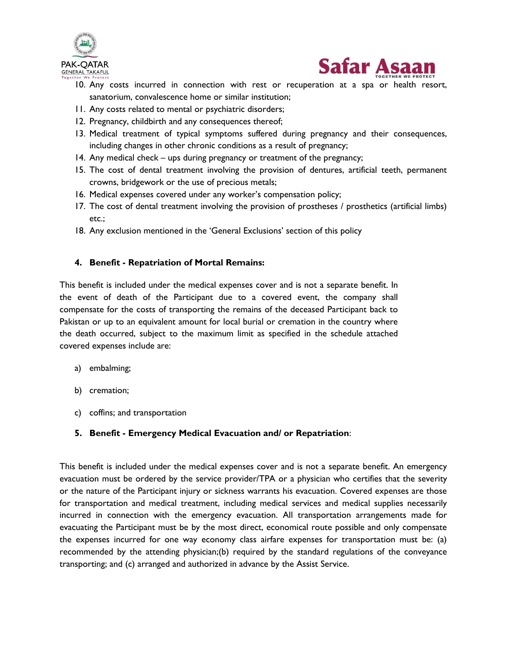



- 10. Any costs incurred in connection with rest or recuperation at a spa or health resort, sanatorium, convalescence home or similar institution;
- 11. Any costs related to mental or psychiatric disorders;
- 12. Pregnancy, childbirth and any consequences thereof;
- 13. Medical treatment of typical symptoms suffered during pregnancy and their consequences, including changes in other chronic conditions as a result of pregnancy;
- 14. Any medical check ups during pregnancy or treatment of the pregnancy;
- 15. The cost of dental treatment involving the provision of dentures, artificial teeth, permanent crowns, bridgework or the use of precious metals;
- 16. Medical expenses covered under any worker's compensation policy;
- 17. The cost of dental treatment involving the provision of prostheses / prosthetics (artificial limbs) etc.;
- 18. Any exclusion mentioned in the 'General Exclusions' section of this policy

## **4. Benefit - Repatriation of Mortal Remains:**

This benefit is included under the medical expenses cover and is not a separate benefit. In the event of death of the Participant due to a covered event, the company shall compensate for the costs of transporting the remains of the deceased Participant back to Pakistan or up to an equivalent amount for local burial or cremation in the country where the death occurred, subject to the maximum limit as specified in the schedule attached covered expenses include are:

- a) embalming;
- b) cremation;
- c) coffins; and transportation

## **5. Benefit - Emergency Medical Evacuation and/ or Repatriation**:

This benefit is included under the medical expenses cover and is not a separate benefit. An emergency evacuation must be ordered by the service provider/TPA or a physician who certifies that the severity or the nature of the Participant injury or sickness warrants his evacuation. Covered expenses are those for transportation and medical treatment, including medical services and medical supplies necessarily incurred in connection with the emergency evacuation. All transportation arrangements made for evacuating the Participant must be by the most direct, economical route possible and only compensate the expenses incurred for one way economy class airfare expenses for transportation must be: (a) recommended by the attending physician;(b) required by the standard regulations of the conveyance transporting; and (c) arranged and authorized in advance by the Assist Service.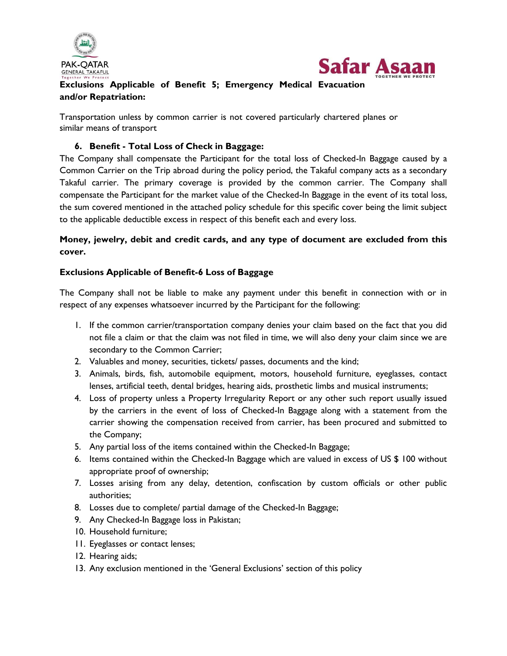



## **Exclusions Applicable of Benefit 5; Emergency Medical Evacuation and/or Repatriation:**

Transportation unless by common carrier is not covered particularly chartered planes or similar means of transport

## **6. Benefit - Total Loss of Check in Baggage:**

The Company shall compensate the Participant for the total loss of Checked-In Baggage caused by a Common Carrier on the Trip abroad during the policy period, the Takaful company acts as a secondary Takaful carrier. The primary coverage is provided by the common carrier. The Company shall compensate the Participant for the market value of the Checked-In Baggage in the event of its total loss, the sum covered mentioned in the attached policy schedule for this specific cover being the limit subject to the applicable deductible excess in respect of this benefit each and every loss.

## **Money, jewelry, debit and credit cards, and any type of document are excluded from this cover.**

## **Exclusions Applicable of Benefit-6 Loss of Baggage**

The Company shall not be liable to make any payment under this benefit in connection with or in respect of any expenses whatsoever incurred by the Participant for the following:

- 1. If the common carrier/transportation company denies your claim based on the fact that you did not file a claim or that the claim was not filed in time, we will also deny your claim since we are secondary to the Common Carrier;
- 2. Valuables and money, securities, tickets/ passes, documents and the kind;
- 3. Animals, birds, fish, automobile equipment, motors, household furniture, eyeglasses, contact lenses, artificial teeth, dental bridges, hearing aids, prosthetic limbs and musical instruments;
- 4. Loss of property unless a Property Irregularity Report or any other such report usually issued by the carriers in the event of loss of Checked-In Baggage along with a statement from the carrier showing the compensation received from carrier, has been procured and submitted to the Company;
- 5. Any partial loss of the items contained within the Checked-In Baggage;
- 6. Items contained within the Checked-In Baggage which are valued in excess of US \$ 100 without appropriate proof of ownership;
- 7. Losses arising from any delay, detention, confiscation by custom officials or other public authorities;
- 8. Losses due to complete/ partial damage of the Checked-In Baggage;
- 9. Any Checked-In Baggage loss in Pakistan;
- 10. Household furniture;
- 11. Eyeglasses or contact lenses;
- 12. Hearing aids;
- 13. Any exclusion mentioned in the 'General Exclusions' section of this policy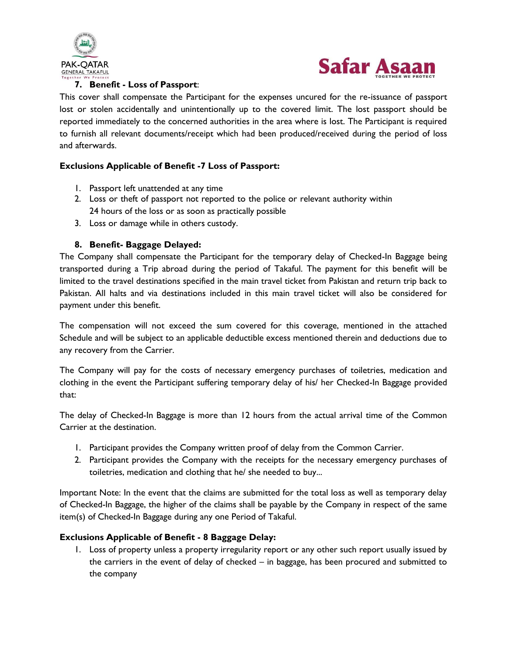



## **7. Benefit - Loss of Passport**:

This cover shall compensate the Participant for the expenses uncured for the re-issuance of passport lost or stolen accidentally and unintentionally up to the covered limit. The lost passport should be reported immediately to the concerned authorities in the area where is lost. The Participant is required to furnish all relevant documents/receipt which had been produced/received during the period of loss and afterwards.

## **Exclusions Applicable of Benefit -7 Loss of Passport:**

- 1. Passport left unattended at any time
- 2. Loss or theft of passport not reported to the police or relevant authority within 24 hours of the loss or as soon as practically possible
- 3. Loss or damage while in others custody.

## **8. Benefit- Baggage Delayed:**

The Company shall compensate the Participant for the temporary delay of Checked-In Baggage being transported during a Trip abroad during the period of Takaful. The payment for this benefit will be limited to the travel destinations specified in the main travel ticket from Pakistan and return trip back to Pakistan. All halts and via destinations included in this main travel ticket will also be considered for payment under this benefit.

The compensation will not exceed the sum covered for this coverage, mentioned in the attached Schedule and will be subject to an applicable deductible excess mentioned therein and deductions due to any recovery from the Carrier.

The Company will pay for the costs of necessary emergency purchases of toiletries, medication and clothing in the event the Participant suffering temporary delay of his/ her Checked-In Baggage provided that:

The delay of Checked-In Baggage is more than 12 hours from the actual arrival time of the Common Carrier at the destination.

- 1. Participant provides the Company written proof of delay from the Common Carrier.
- 2. Participant provides the Company with the receipts for the necessary emergency purchases of toiletries, medication and clothing that he/ she needed to buy...

Important Note: In the event that the claims are submitted for the total loss as well as temporary delay of Checked-In Baggage, the higher of the claims shall be payable by the Company in respect of the same item(s) of Checked-In Baggage during any one Period of Takaful.

## **Exclusions Applicable of Benefit - 8 Baggage Delay:**

1. Loss of property unless a property irregularity report or any other such report usually issued by the carriers in the event of delay of checked – in baggage, has been procured and submitted to the company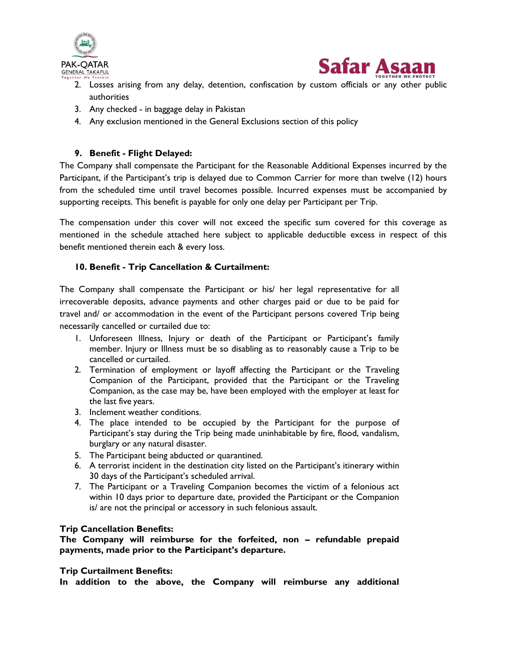



- 2. Losses arising from any delay, detention, confiscation by custom officials or any other public authorities
- 3. Any checked in baggage delay in Pakistan
- 4. Any exclusion mentioned in the General Exclusions section of this policy

## **9. Benefit - Flight Delayed:**

The Company shall compensate the Participant for the Reasonable Additional Expenses incurred by the Participant, if the Participant's trip is delayed due to Common Carrier for more than twelve (12) hours from the scheduled time until travel becomes possible. Incurred expenses must be accompanied by supporting receipts. This benefit is payable for only one delay per Participant per Trip.

The compensation under this cover will not exceed the specific sum covered for this coverage as mentioned in the schedule attached here subject to applicable deductible excess in respect of this benefit mentioned therein each & every loss.

## **10. Benefit - Trip Cancellation & Curtailment:**

The Company shall compensate the Participant or his/ her legal representative for all irrecoverable deposits, advance payments and other charges paid or due to be paid for travel and/ or accommodation in the event of the Participant persons covered Trip being necessarily cancelled or curtailed due to:

- 1. Unforeseen Illness, Injury or death of the Participant or Participant"s family member. Injury or Illness must be so disabling as to reasonably cause a Trip to be cancelled or curtailed.
- 2. Termination of employment or layoff affecting the Participant or the Traveling Companion of the Participant, provided that the Participant or the Traveling Companion, as the case may be, have been employed with the employer at least for the last five years.
- 3. Inclement weather conditions.
- 4. The place intended to be occupied by the Participant for the purpose of Participant's stay during the Trip being made uninhabitable by fire, flood, vandalism, burglary or any natural disaster.
- 5. The Participant being abducted or quarantined.
- 6. A terrorist incident in the destination city listed on the Participant"s itinerary within 30 days of the Participant's scheduled arrival.
- 7. The Participant or a Traveling Companion becomes the victim of a felonious act within 10 days prior to departure date, provided the Participant or the Companion is/ are not the principal or accessory in such felonious assault.

## **Trip Cancellation Benefits:**

**The Company will reimburse for the forfeited, non – refundable prepaid payments, made prior to the Participant's departure.**

#### **Trip Curtailment Benefits:**

**In addition to the above, the Company will reimburse any additional**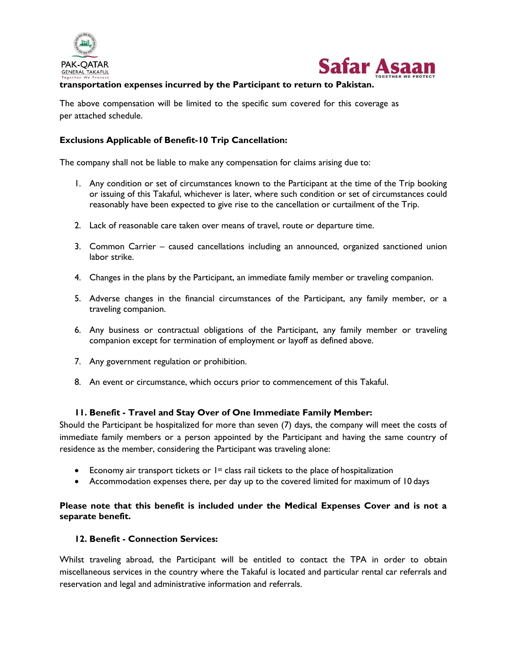



## **transportation expenses incurred by the Participant to return to Pakistan.**

The above compensation will be limited to the specific sum covered for this coverage as per attached schedule.

#### **Exclusions Applicable of Benefit-10 Trip Cancellation:**

The company shall not be liable to make any compensation for claims arising due to:

- 1. Any condition or set of circumstances known to the Participant at the time of the Trip booking or issuing of this Takaful, whichever is later, where such condition or set of circumstances could reasonably have been expected to give rise to the cancellation or curtailment of the Trip.
- 2. Lack of reasonable care taken over means of travel, route or departure time.
- 3. Common Carrier caused cancellations including an announced, organized sanctioned union labor strike.
- 4. Changes in the plans by the Participant, an immediate family member or traveling companion.
- 5. Adverse changes in the financial circumstances of the Participant, any family member, or a traveling companion.
- 6. Any business or contractual obligations of the Participant, any family member or traveling companion except for termination of employment or layoff as defined above.
- 7. Any government regulation or prohibition.
- 8. An event or circumstance, which occurs prior to commencement of this Takaful.

#### **11. Benefit - Travel and Stay Over of One Immediate Family Member:**

Should the Participant be hospitalized for more than seven (7) days, the company will meet the costs of immediate family members or a person appointed by the Participant and having the same country of residence as the member, considering the Participant was traveling alone:

- Economy air transport tickets or  $1st$  class rail tickets to the place of hospitalization
- Accommodation expenses there, per day up to the covered limited for maximum of 10 days

## **Please note that this benefit is included under the Medical Expenses Cover and is not a separate benefit.**

#### **12. Benefit - Connection Services:**

Whilst traveling abroad, the Participant will be entitled to contact the TPA in order to obtain miscellaneous services in the country where the Takaful is located and particular rental car referrals and reservation and legal and administrative information and referrals.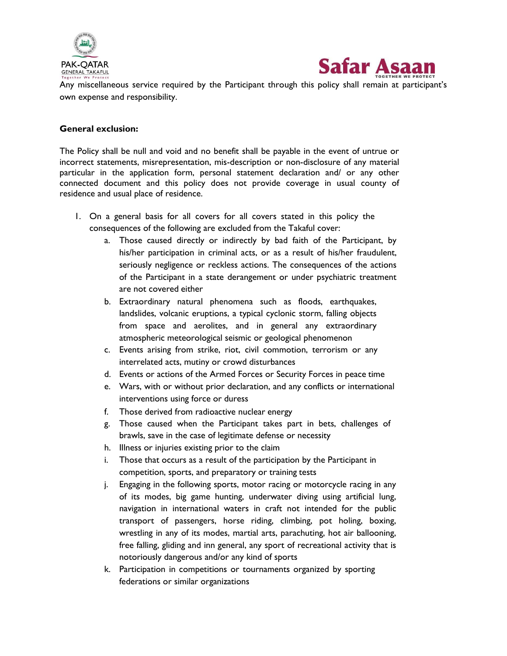



Any miscellaneous service required by the Participant through this policy shall remain at participant"s own expense and responsibility.

#### **General exclusion:**

The Policy shall be null and void and no benefit shall be payable in the event of untrue or incorrect statements, misrepresentation, mis-description or non-disclosure of any material particular in the application form, personal statement declaration and/ or any other connected document and this policy does not provide coverage in usual county of residence and usual place of residence.

- 1. On a general basis for all covers for all covers stated in this policy the consequences of the following are excluded from the Takaful cover:
	- a. Those caused directly or indirectly by bad faith of the Participant, by his/her participation in criminal acts, or as a result of his/her fraudulent, seriously negligence or reckless actions. The consequences of the actions of the Participant in a state derangement or under psychiatric treatment are not covered either
	- b. Extraordinary natural phenomena such as floods, earthquakes, landslides, volcanic eruptions, a typical cyclonic storm, falling objects from space and aerolites, and in general any extraordinary atmospheric meteorological seismic or geological phenomenon
	- c. Events arising from strike, riot, civil commotion, terrorism or any interrelated acts, mutiny or crowd disturbances
	- d. Events or actions of the Armed Forces or Security Forces in peace time
	- e. Wars, with or without prior declaration, and any conflicts or international interventions using force or duress
	- f. Those derived from radioactive nuclear energy
	- g. Those caused when the Participant takes part in bets, challenges of brawls, save in the case of legitimate defense or necessity
	- h. Illness or injuries existing prior to the claim
	- i. Those that occurs as a result of the participation by the Participant in competition, sports, and preparatory or training tests
	- j. Engaging in the following sports, motor racing or motorcycle racing in any of its modes, big game hunting, underwater diving using artificial lung, navigation in international waters in craft not intended for the public transport of passengers, horse riding, climbing, pot holing, boxing, wrestling in any of its modes, martial arts, parachuting, hot air ballooning, free falling, gliding and inn general, any sport of recreational activity that is notoriously dangerous and/or any kind of sports
	- k. Participation in competitions or tournaments organized by sporting federations or similar organizations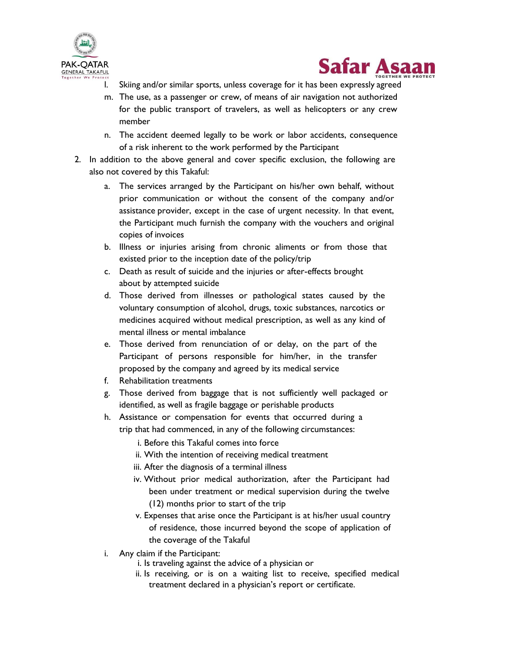



- l. Skiing and/or similar sports, unless coverage for it has been expressly agreed
- m. The use, as a passenger or crew, of means of air navigation not authorized for the public transport of travelers, as well as helicopters or any crew member
- n. The accident deemed legally to be work or labor accidents, consequence of a risk inherent to the work performed by the Participant
- 2. In addition to the above general and cover specific exclusion, the following are also not covered by this Takaful:
	- a. The services arranged by the Participant on his/her own behalf, without prior communication or without the consent of the company and/or assistance provider, except in the case of urgent necessity. In that event, the Participant much furnish the company with the vouchers and original copies of invoices
	- b. Illness or injuries arising from chronic aliments or from those that existed prior to the inception date of the policy/trip
	- c. Death as result of suicide and the injuries or after-effects brought about by attempted suicide
	- d. Those derived from illnesses or pathological states caused by the voluntary consumption of alcohol, drugs, toxic substances, narcotics or medicines acquired without medical prescription, as well as any kind of mental illness or mental imbalance
	- e. Those derived from renunciation of or delay, on the part of the Participant of persons responsible for him/her, in the transfer proposed by the company and agreed by its medical service
	- f. Rehabilitation treatments
	- g. Those derived from baggage that is not sufficiently well packaged or identified, as well as fragile baggage or perishable products
	- h. Assistance or compensation for events that occurred during a trip that had commenced, in any of the following circumstances:
		- i. Before this Takaful comes into force
		- ii. With the intention of receiving medical treatment
		- iii. After the diagnosis of a terminal illness
		- iv. Without prior medical authorization, after the Participant had been under treatment or medical supervision during the twelve (12) months prior to start of the trip
		- v. Expenses that arise once the Participant is at his/her usual country of residence, those incurred beyond the scope of application of the coverage of the Takaful
	- i. Any claim if the Participant:
		- i. Is traveling against the advice of a physician or
		- ii. Is receiving, or is on a waiting list to receive, specified medical treatment declared in a physician's report or certificate.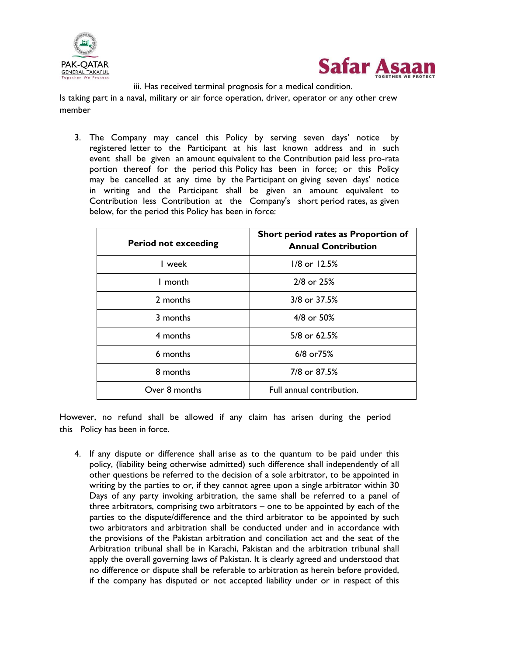



iii. Has received terminal prognosis for a medical condition.

Is taking part in a naval, military or air force operation, driver, operator or any other crew member

3. The Company may cancel this Policy by serving seven days' notice by registered letter to the Participant at his last known address and in such event shall be given an amount equivalent to the Contribution paid less pro-rata portion thereof for the period this Policy has been in force; or this Policy may be cancelled at any time by the Participant on giving seven days' notice in writing and the Participant shall be given an amount equivalent to Contribution less Contribution at the Company's short period rates, as given below, for the period this Policy has been in force:

| <b>Period not exceeding</b> | Short period rates as Proportion of<br><b>Annual Contribution</b> |  |
|-----------------------------|-------------------------------------------------------------------|--|
| I week                      | $1/8$ or $12.5%$                                                  |  |
| I month                     | 2/8 or 25%                                                        |  |
| 2 months                    | 3/8 or 37.5%                                                      |  |
| 3 months                    | 4/8 or 50%                                                        |  |
| 4 months                    | 5/8 or 62.5%                                                      |  |
| 6 months                    | 6/8 or 75%                                                        |  |
| 8 months                    | 7/8 or 87.5%                                                      |  |
| Over 8 months               | Full annual contribution.                                         |  |

However, no refund shall be allowed if any claim has arisen during the period this Policy has been in force.

4. If any dispute or difference shall arise as to the quantum to be paid under this policy, (liability being otherwise admitted) such difference shall independently of all other questions be referred to the decision of a sole arbitrator, to be appointed in writing by the parties to or, if they cannot agree upon a single arbitrator within 30 Days of any party invoking arbitration, the same shall be referred to a panel of three arbitrators, comprising two arbitrators – one to be appointed by each of the parties to the dispute/difference and the third arbitrator to be appointed by such two arbitrators and arbitration shall be conducted under and in accordance with the provisions of the Pakistan arbitration and conciliation act and the seat of the Arbitration tribunal shall be in Karachi, Pakistan and the arbitration tribunal shall apply the overall governing laws of Pakistan. It is clearly agreed and understood that no difference or dispute shall be referable to arbitration as herein before provided, if the company has disputed or not accepted liability under or in respect of this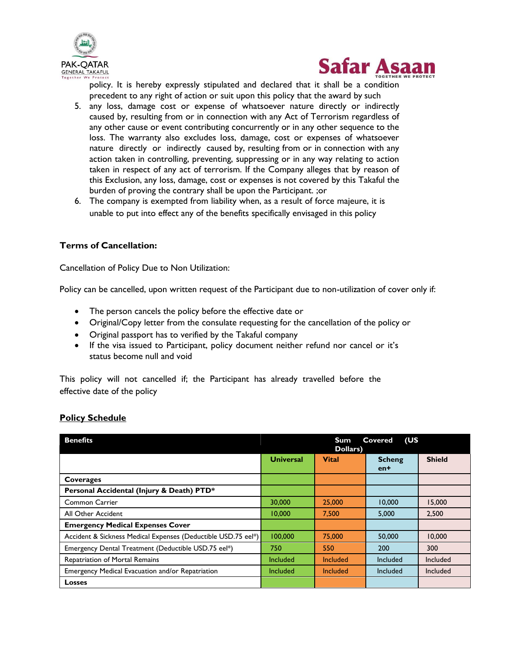



policy. It is hereby expressly stipulated and declared that it shall be a condition precedent to any right of action or suit upon this policy that the award by such

- 5. any loss, damage cost or expense of whatsoever nature directly or indirectly caused by, resulting from or in connection with any Act of Terrorism regardless of any other cause or event contributing concurrently or in any other sequence to the loss. The warranty also excludes loss, damage, cost or expenses of whatsoever nature directly or indirectly caused by, resulting from or in connection with any action taken in controlling, preventing, suppressing or in any way relating to action taken in respect of any act of terrorism. If the Company alleges that by reason of this Exclusion, any loss, damage, cost or expenses is not covered by this Takaful the burden of proving the contrary shall be upon the Participant. ;or
- 6. The company is exempted from liability when, as a result of force majeure, it is unable to put into effect any of the benefits specifically envisaged in this policy

## **Terms of Cancellation:**

Cancellation of Policy Due to Non Utilization:

Policy can be cancelled, upon written request of the Participant due to non-utilization of cover only if:

- The person cancels the policy before the effective date or
- Original/Copy letter from the consulate requesting for the cancellation of the policy or
- Original passport has to verified by the Takaful company
- If the visa issued to Participant, policy document neither refund nor cancel or it"s status become null and void

This policy will not cancelled if; the Participant has already travelled before the effective date of the policy

#### **Policy Schedule**

| (US<br><b>Benefits</b><br>Sum.<br>Covered<br>Dollars)         |                  |                 |                        |               |
|---------------------------------------------------------------|------------------|-----------------|------------------------|---------------|
|                                                               | <b>Universal</b> | <b>Vital</b>    | <b>Scheng</b><br>$en+$ | <b>Shield</b> |
| Coverages                                                     |                  |                 |                        |               |
| Personal Accidental (Injury & Death) PTD*                     |                  |                 |                        |               |
| <b>Common Carrier</b>                                         | 30,000           | 25,000          | 10,000                 | 15,000        |
| All Other Accident                                            | 10,000           | 7.500           | 5.000                  | 2.500         |
| <b>Emergency Medical Expenses Cover</b>                       |                  |                 |                        |               |
| Accident & Sickness Medical Expenses (Deductible USD.75 eel*) | 100.000          | 75,000          | 50,000                 | 10,000        |
| Emergency Dental Treatment (Deductible USD.75 eel*)           | 750              | 550             | 200                    | 300           |
| Repatriation of Mortal Remains                                | Included         | Included        | Included               | Included      |
| Emergency Medical Evacuation and/or Repatriation              | Included         | <b>Included</b> | Included               | Included      |
| <b>Losses</b>                                                 |                  |                 |                        |               |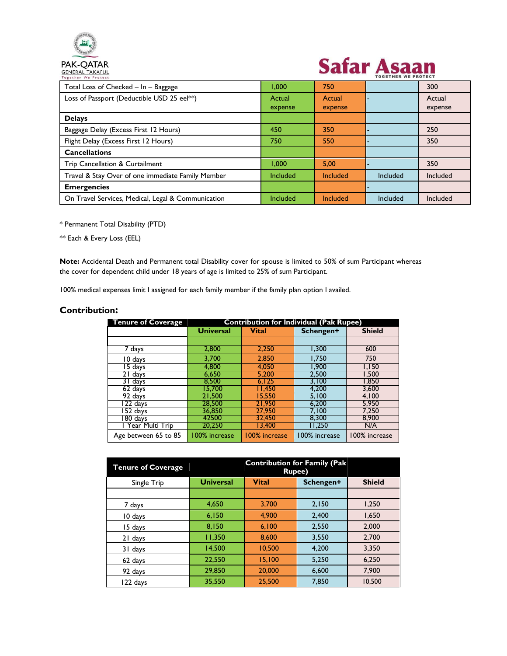

# **Safar Asaan**

| Together We Protect                                |                   |                   | TUBETHER WE FRUIEUT |                   |
|----------------------------------------------------|-------------------|-------------------|---------------------|-------------------|
| Total Loss of Checked - In - Baggage               | 1.000             | 750               |                     | 300               |
| Loss of Passport (Deductible USD 25 eel**)         | Actual<br>expense | Actual<br>expense |                     | Actual<br>expense |
| <b>Delays</b>                                      |                   |                   |                     |                   |
| Baggage Delay (Excess First 12 Hours)              | 450               | 350               |                     | 250               |
| Flight Delay (Excess First 12 Hours)               | 750               | 550               |                     | 350               |
| <b>Cancellations</b>                               |                   |                   |                     |                   |
| Trip Cancellation & Curtailment                    | 1.000             | 5.00              |                     | 350               |
| Travel & Stay Over of one immediate Family Member  | Included          | Included          | Included            | Included          |
| <b>Emergencies</b>                                 |                   |                   |                     |                   |
| On Travel Services, Medical, Legal & Communication | Included          | Included          | Included            | Included          |

\* Permanent Total Disability (PTD)

\*\* Each & Every Loss (EEL)

**Note:** Accidental Death and Permanent total Disability cover for spouse is limited to 50% of sum Participant whereas the cover for dependent child under 18 years of age is limited to 25% of sum Participant.

100% medical expenses limit I assigned for each family member if the family plan option I availed.

#### **Contribution:**

| <b>Tenure of Coverage</b> | <b>Contribution for Individual (Pak Rupee)</b> |               |               |               |  |
|---------------------------|------------------------------------------------|---------------|---------------|---------------|--|
|                           | <b>Vital</b><br><b>Universal</b>               |               | Schengen+     | <b>Shield</b> |  |
|                           |                                                |               |               |               |  |
| 7 days                    | 2,800                                          | 2,250         | 1,300         | 600           |  |
| 10 days                   | 3.700                                          | 2.850         | 1.750         | 750           |  |
| 15 days                   | 4.800                                          | 4.050         | 1,900         | I.I50         |  |
| 21 days                   | 6,650                                          | 5.200         | 2,500         | 1,500         |  |
| $31$ days                 | 8.500                                          | 6.125         | 3.100         | 1.850         |  |
| 62 days                   | 15.700                                         | 11.450        | 4.200         | 3.600         |  |
| 92 days                   | 21.500                                         | 15.550        | 5.100         | 4.100         |  |
| 122 days                  | 28,500                                         | 21,950        | 6,200         | 5,950         |  |
| 152 days                  | 36.850                                         | 27,950        | 7.100         | 7,250         |  |
| $180 \text{ days}$        | 42500                                          | 32.450        | 8.300         | 8.900         |  |
| Year Multi Trip           | 20,250                                         | 13.400        | 11.250        | N/A           |  |
| Age between 65 to 85      | 100% increase                                  | 100% increase | 100% increase | 100% increase |  |

| <b>Tenure of Coverage</b> | <b>Contribution for Family (Pak</b><br><b>Rupee)</b> |                                            |       |        |  |  |
|---------------------------|------------------------------------------------------|--------------------------------------------|-------|--------|--|--|
| Single Trip               | <b>Universal</b>                                     | <b>Vital</b><br><b>Shield</b><br>Schengen+ |       |        |  |  |
|                           |                                                      |                                            |       |        |  |  |
| 7 days                    | 4,650                                                | 3,700                                      | 2,150 | 1,250  |  |  |
| 10 days                   | 6,150                                                | 4.900                                      | 2,400 | 1,650  |  |  |
| 15 days                   | 8,150                                                | 6,100                                      | 2,550 | 2,000  |  |  |
| 21 days                   | 11,350                                               | 8.600                                      | 3,550 | 2,700  |  |  |
| 31 days                   | 14,500                                               | 10,500                                     | 4.200 | 3,350  |  |  |
| 62 days                   | 22,550                                               | 15,100                                     | 5,250 | 6,250  |  |  |
| 92 days                   | 29,850                                               | 20,000                                     | 6,600 | 7,900  |  |  |
| l 22 days                 | 35,550                                               | 25,500                                     | 7.850 | 10.500 |  |  |